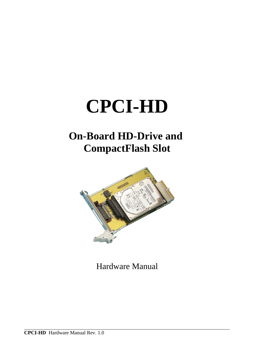# **CPCI-HD**

## **On-Board HD-Drive and CompactFlash Slot**



Hardware Manual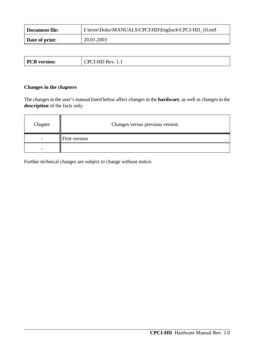| <b>Document file:</b> | I:\texte\Doku\MANUALS\CPCI\HD\Englisch\CPCI-HD_10.en9 |  |
|-----------------------|-------------------------------------------------------|--|
| Date of print:        | 20.01.2003                                            |  |

| $\mathbf{p} \cap \mathbf{R}$<br>$\sim$<br>$\Gamma$ D $\Gamma$<br>version:<br>$\Delta V$<br>л. |  |
|-----------------------------------------------------------------------------------------------|--|
|-----------------------------------------------------------------------------------------------|--|

#### **Changes in the chapters**

The changes in the user's manual listed below affect changes in the **hardware**, as well as changes in the **description** of the facts only.

| Chapter                  | Changes versus previous version |
|--------------------------|---------------------------------|
| $\overline{\phantom{a}}$ | First version                   |
| $\overline{\phantom{0}}$ |                                 |

Further technical changes are subject to change without notice.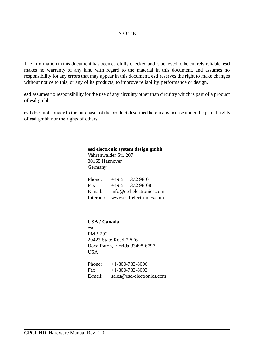#### N O T E

The information in this document has been carefully checked and is believed to be entirely reliable. **esd** makes no warranty of any kind with regard to the material in this document, and assumes no responsibility for any errors that may appear in this document. **esd** reserves the right to make changes without notice to this, or any of its products, to improve reliability, performance or design.

**esd** assumes no responsibility for the use of any circuitry other than circuitry which is part of a product of **esd** gmbh.

esd does not convey to the purchaser of the product described herein any license under the patent rights of **esd** gmbh nor the rights of others.

#### **esd electronic system design gmbh** Vahrenwalder Str. 207 30165 Hannover **Germany**

| $+49-511-37298-0$        |
|--------------------------|
| $+49-511-37298-68$       |
| info@esd-electronics.com |
| www.esd-electronics.com  |
|                          |

#### **USA / Canada** esd PMB 292 20423 State Road 7 #F6 Boca Raton, Florida 33498-6797 **USA**

| Phone:  | $+1 - 800 - 732 - 8006$   |
|---------|---------------------------|
| Fax:    | $+1-800-732-8093$         |
| E-mail: | sales@esd-electronics.com |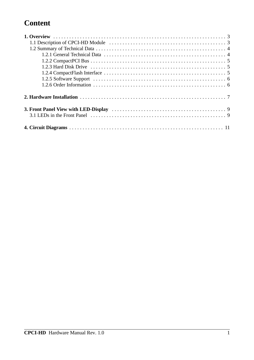## **Content**

| 3.1 LEDs in the Front Panel $\dots \dots \dots \dots \dots \dots \dots \dots \dots \dots \dots \dots \dots \dots \dots \dots \dots$ |
|-------------------------------------------------------------------------------------------------------------------------------------|
|                                                                                                                                     |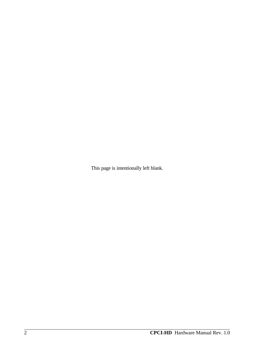This page is intentionally left blank.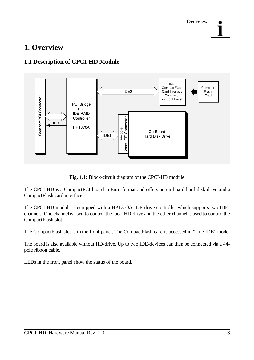

## **1. Overview**

#### **1.1 Description of CPCI-HD Module**



**Fig. 1.1:** Block-circuit diagram of the CPCI-HD module

The CPCI-HD is a CompactPCI board in Euro format and offers an on-board hard disk drive and a CompactFlash card interface.

The CPCI-HD module is equipped with a HPT370A IDE-drive controller which supports two IDEchannels. One channel is used to control the local HD-drive and the other channel is used to control the CompactFlash slot.

The CompactFlash slot is in the front panel. The CompactFlash card is accessed in 'True IDE'-mode.

The board is also available without HD-drive. Up to two IDE-devices can then be connected via a 44 pole ribbon cable.

LEDs in the front panel show the status of the board.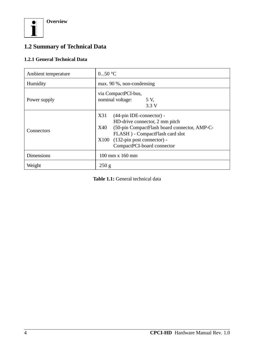## **1.2 Summary of Technical Data**

#### **1.2.1 General Technical Data**

| Ambient temperature | $050$ °C                                                                                                                                                                                                                          |
|---------------------|-----------------------------------------------------------------------------------------------------------------------------------------------------------------------------------------------------------------------------------|
| Humidity            | $max. 90 %$ , non-condensing                                                                                                                                                                                                      |
| Power supply        | via CompactPCI-bus,<br>nominal voltage:<br>5 V,<br>3.3V                                                                                                                                                                           |
| Connectors          | X31<br>$(44$ -pin IDE-connector) -<br>HD-drive connector, 2 mm pitch<br>(50-pin CompactFlash board connector, AMP-C-<br>X40<br>FLASH) - CompactFlash card slot<br>$X100$ (132-pin post connector) -<br>CompactPCI-board connector |
| <b>Dimensions</b>   | $100$ mm x $160$ mm                                                                                                                                                                                                               |
| Weight              | 250 g                                                                                                                                                                                                                             |

**Table 1.1:** General technical data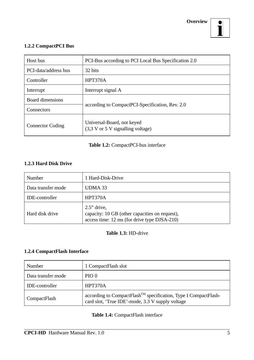

#### **1.2.2 CompactPCI Bus**

| Host bus                | PCI-Bus according to PCI Local Bus Specification 2.0               |  |  |
|-------------------------|--------------------------------------------------------------------|--|--|
| PCI-data/address bus    | 32 bits                                                            |  |  |
| Controller              | HPT370A                                                            |  |  |
| Interrupt               | Interrupt signal A                                                 |  |  |
| Board dimensions        |                                                                    |  |  |
| Connectors              | according to CompactPCI-Specification, Rev. 2.0                    |  |  |
| <b>Connector Coding</b> | Universal-Board, not keyed<br>$(3,3 V)$ or 5 V signalling voltage) |  |  |

#### **Table 1.2:** CompactPCI-bus interface

#### **1.2.3 Hard Disk Drive**

| Number                | 1 Hard-Disk-Drive                                                                                                |  |
|-----------------------|------------------------------------------------------------------------------------------------------------------|--|
| Data transfer mode    | UDMA 33                                                                                                          |  |
| <b>IDE-controller</b> | HPT370A                                                                                                          |  |
| Hard disk drive       | $2.5$ " drive,<br>capacity: 10 GB (other capacities on request),<br>access time: 12 ms (for drive type DJSA-210) |  |

#### **Table 1.3:** HD-drive

#### **1.2.4 CompactFlash Interface**

| Number             | 1 CompactFlash slot                                                                                                                      |  |
|--------------------|------------------------------------------------------------------------------------------------------------------------------------------|--|
| Data transfer mode | PIO 0                                                                                                                                    |  |
| IDE-controller     | HPT370A                                                                                                                                  |  |
| CompactFlash       | $\alpha$ according to CompactFlash <sup>TM</sup> specification, Type I CompactFlash-<br>card slot, 'True IDE'-mode, 3.3 V supply voltage |  |

#### **Table 1.4:** CompactFlash interface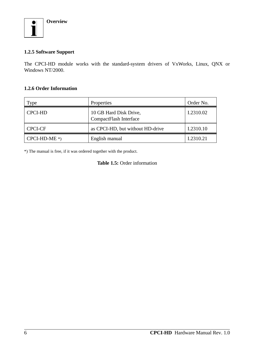

#### **1.2.5 Software Support**

The CPCI-HD module works with the standard-system drivers of VxWorks, Linux, QNX or Windows NT/2000.

#### **1.2.6 Order Information**

| <i>r</i> pe    | Properties                                       | Order No. |
|----------------|--------------------------------------------------|-----------|
| <b>CPCI-HD</b> | 10 GB Hard Disk Drive,<br>CompactFlash Interface | I.2310.02 |
| <b>CPCI-CF</b> | as CPCI-HD, but without HD-drive                 | I.2310.10 |
| $CPCI-HD-ME*$  | English manual                                   | I.2310.21 |

\*) The manual is free, if it was ordered together with the product.

#### **Table 1.5:** Order information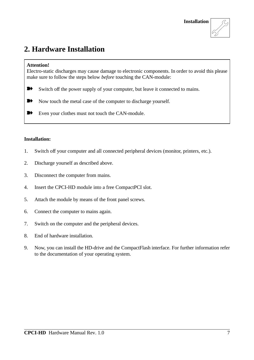

## **2. Hardware Installation**

#### **Attention!**

Electro-static discharges may cause damage to electronic components. In order to avoid this please make sure to follow the steps below *before* touching the CAN-module:

- @ Switch off the power supply of your computer, but leave it connected to mains.
- Now touch the metal case of the computer to discharge yourself.
- Even your clothes must not touch the CAN-module.

#### **Installation:**

- 1. Switch off your computer and all connected peripheral devices (monitor, printers, etc.).
- 2. Discharge yourself as described above.
- 3. Disconnect the computer from mains.
- 4. Insert the CPCI-HD module into a free CompactPCI slot.
- 5. Attach the module by means of the front panel screws.
- 6. Connect the computer to mains again.
- 7. Switch on the computer and the peripheral devices.
- 8. End of hardware installation.
- 9. Now, you can install the HD-drive and the CompactFlash interface. For further information refer to the documentation of your operating system.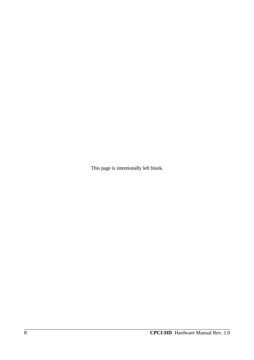This page is intentionally left blank.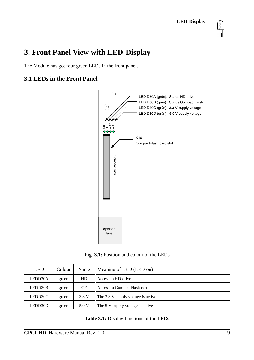

## **3. Front Panel View with LED-Display**

The Module has got four green LEDs in the front panel.

#### **3.1 LEDs in the Front Panel**



**Fig. 3.1:** Position and colour of the LEDs

| <b>LED</b> | Colour | Name  | Meaning of LED (LED on)            |
|------------|--------|-------|------------------------------------|
| LEDD30A    | green  | HD    | Access to HD-drive                 |
| LEDD30B    | green  | CF    | Access to CompactFlash card        |
| LEDD30C    | green  | 3.3 V | The 3.3 V supply voltage is active |
| LEDD30D    | green  | 5.0 V | The 5 V supply voltage is active   |

**Table 3.1:** Display functions of the LEDs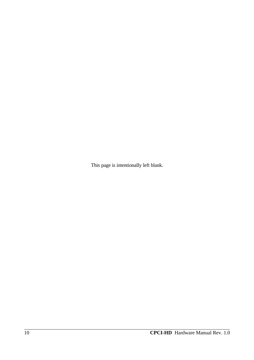This page is intentionally left blank.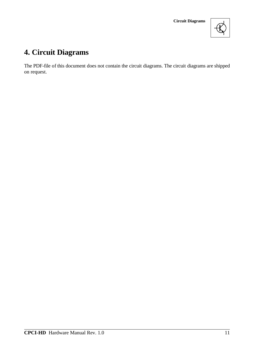

## **4. Circuit Diagrams**

The PDF-file of this document does not contain the circuit diagrams. The circuit diagrams are shipped on request.